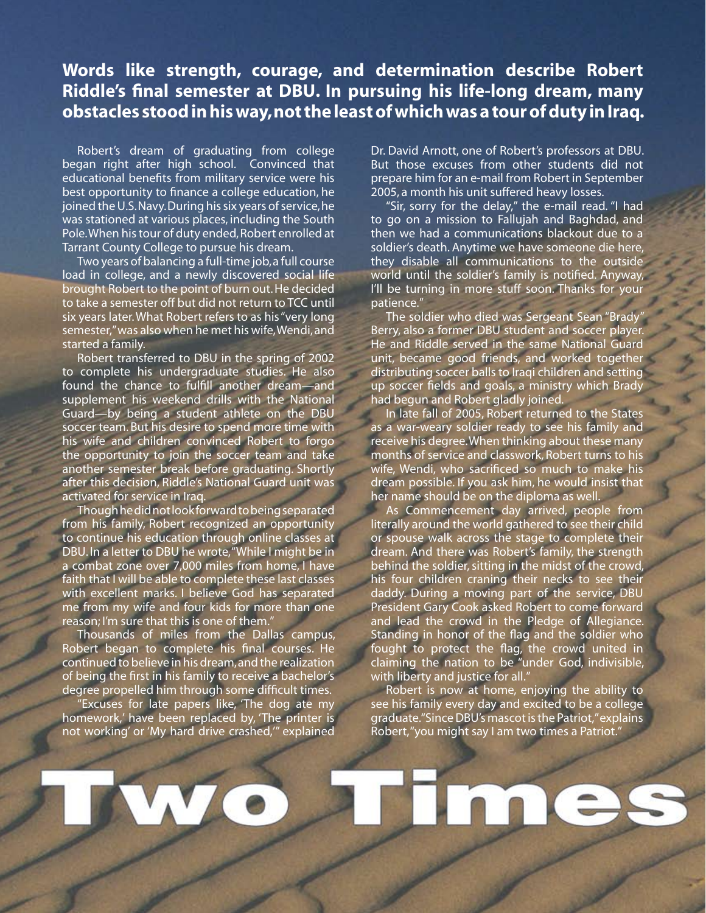## **Words like strength, courage, and determination describe Robert Riddle's final semester at DBU. In pursuing his life-long dream, many obstacles stood in his way, not the least of which was a tour of duty in Iraq.**

Robert's dream of graduating from college began right after high school. Convinced that educational benefits from military service were his best opportunity to finance a college education, he joined the U.S. Navy. During his six years of service, he was stationed at various places, including the South Pole. When his tour of duty ended, Robert enrolled at Tarrant County College to pursue his dream.

Two years of balancing a full-time job, a full course load in college, and a newly discovered social life brought Robert to the point of burn out. He decided to take a semester off but did not return to TCC until six years later. What Robert refers to as his "very long semester," was also when he met his wife, Wendi, and started a family.

Robert transferred to DBU in the spring of 2002 to complete his undergraduate studies. He also found the chance to fulfill another dream—and supplement his weekend drills with the National Guard—by being a student athlete on the DBU soccer team. But his desire to spend more time with his wife and children convinced Robert to forgo the opportunity to join the soccer team and take another semester break before graduating. Shortly after this decision, Riddle's National Guard unit was activated for service in Iraq.

Though he did not look forward to being separated from his family, Robert recognized an opportunity to continue his education through online classes at DBU. In a letter to DBU he wrote, "While I might be in a combat zone over 7,000 miles from home, I have faith that I will be able to complete these last classes with excellent marks. I believe God has separated me from my wife and four kids for more than one reason; I'm sure that this is one of them.'

Thousands of miles from the Dallas campus, Robert began to complete his final courses. He continued to believe in his dream, and the realization of being the first in his family to receive a bachelor's degree propelled him through some difficult times.

"Excuses for late papers like, 'The dog ate my homework,' have been replaced by, 'The printer is not working' or 'My hard drive crashed,'" explained Dr. David Arnott, one of Robert's professors at DBU. But those excuses from other students did not prepare him for an e-mail from Robert in September 2005, a month his unit suffered heavy losses.

"Sir, sorry for the delay," the e-mail read. "I had to go on a mission to Fallujah and Baghdad, and then we had a communications blackout due to a soldier's death. Anytime we have someone die here, they disable all communications to the outside world until the soldier's family is notified. Anyway, I'll be turning in more stuff soon. Thanks for your patience."

The soldier who died was Sergeant Sean "Brady" Berry, also a former DBU student and soccer player. He and Riddle served in the same National Guard unit, became good friends, and worked together distributing soccer balls to Iraqi children and setting up soccer fields and goals, a ministry which Brady had begun and Robert gladly joined.

In late fall of 2005, Robert returned to the States as a war-weary soldier ready to see his family and receive his degree. When thinking about these many months of service and classwork, Robert turns to his wife, Wendi, who sacrificed so much to make his dream possible. If you ask him, he would insist that her name should be on the diploma as well.

As Commencement day arrived, people from literally around the world gathered to see their child or spouse walk across the stage to complete their dream. And there was Robert's family, the strength behind the soldier, sitting in the midst of the crowd, his four children craning their necks to see their daddy. During a moving part of the service, DBU President Gary Cook asked Robert to come forward and lead the crowd in the Pledge of Allegiance. Standing in honor of the flag and the soldier who fought to protect the flag, the crowd united in claiming the nation to be "under God, indivisible, with liberty and justice for all."

Robert is now at home, enjoying the ability to see his family every day and excited to be a college graduate. "Since DBU's mascot is the Patriot," explains Robert, "you might say I am two times a Patriot."